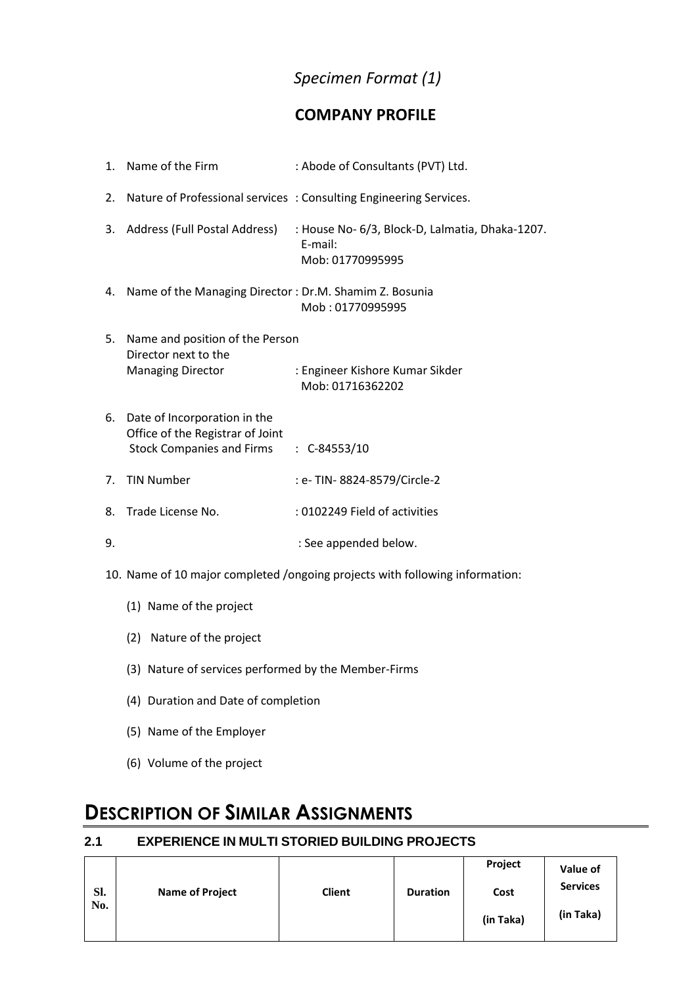### *Specimen Format (1)*

#### **COMPANY PROFILE**

|    | 1. Name of the Firm                                                                                  | : Abode of Consultants (PVT) Ltd.                                              |
|----|------------------------------------------------------------------------------------------------------|--------------------------------------------------------------------------------|
|    |                                                                                                      | 2. Nature of Professional services: Consulting Engineering Services.           |
|    | 3. Address (Full Postal Address)                                                                     | : House No- 6/3, Block-D, Lalmatia, Dhaka-1207.<br>E-mail:<br>Mob: 01770995995 |
|    | 4. Name of the Managing Director: Dr.M. Shamim Z. Bosunia                                            | Mob: 01770995995                                                               |
| 5. | Name and position of the Person<br>Director next to the<br><b>Managing Director</b>                  | : Engineer Kishore Kumar Sikder<br>Mob: 01716362202                            |
| 6. | Date of Incorporation in the<br>Office of the Registrar of Joint<br><b>Stock Companies and Firms</b> | $\therefore$ C-84553/10                                                        |
| 7. | <b>TIN Number</b>                                                                                    | : e- TIN- 8824-8579/Circle-2                                                   |
| 8. | Trade License No.                                                                                    | : 0102249 Field of activities                                                  |
| 9. |                                                                                                      | : See appended below.                                                          |

10. Name of 10 major completed /ongoing projects with following information:

- (1) Name of the project
- (2) Nature of the project
- (3) Nature of services performed by the Member-Firms
- (4) Duration and Date of completion
- (5) Name of the Employer
- (6) Volume of the project

## **DESCRIPTION OF SIMILAR ASSIGNMENTS**

#### **2.1 EXPERIENCE IN MULTI STORIED BUILDING PROJECTS**

|     |                        |               |                 | Project   | Value of        |  |
|-----|------------------------|---------------|-----------------|-----------|-----------------|--|
| SI. | <b>Name of Project</b> | <b>Client</b> | <b>Duration</b> | Cost      | <b>Services</b> |  |
| No. |                        |               |                 | (in Taka) | (in Taka)       |  |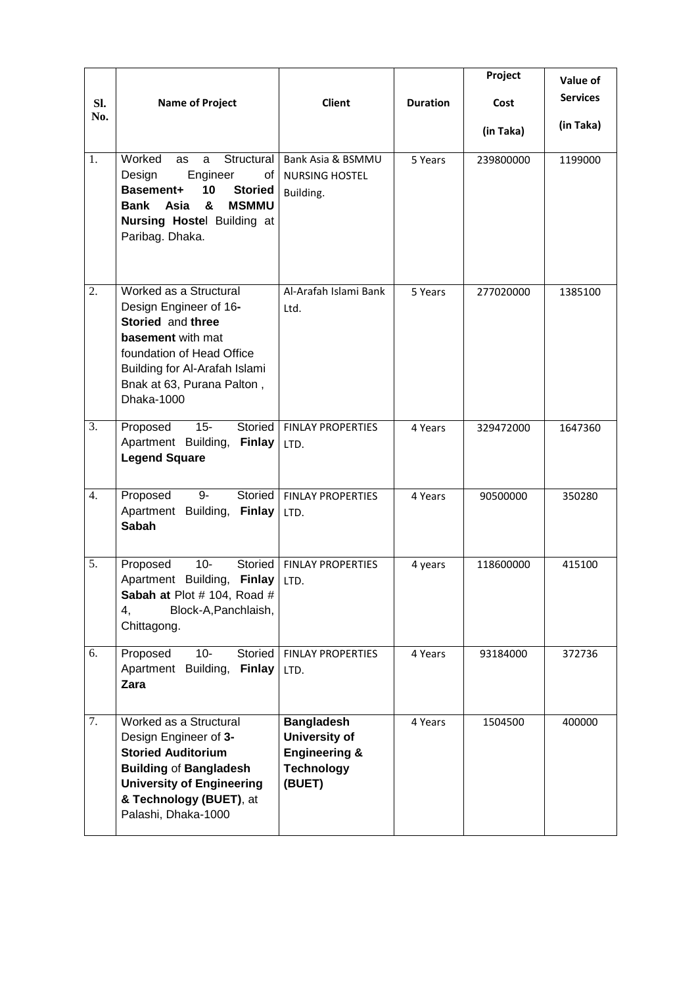|            |                                                                                                                                                                                                             |                                                                                                      |                 | Project           | Value of<br><b>Services</b> |
|------------|-------------------------------------------------------------------------------------------------------------------------------------------------------------------------------------------------------------|------------------------------------------------------------------------------------------------------|-----------------|-------------------|-----------------------------|
| SI.<br>No. | <b>Name of Project</b>                                                                                                                                                                                      | <b>Client</b>                                                                                        | <b>Duration</b> | Cost<br>(in Taka) | (in Taka)                   |
| 1.         | Worked<br>Structural<br>as<br>a<br>Engineer<br>Design<br>of<br>10<br>Basement+<br><b>Storied</b><br>&<br><b>MSMMU</b><br>Bank Asia<br><b>Nursing Hostel Building at</b><br>Paribag. Dhaka.                  | Bank Asia & BSMMU<br><b>NURSING HOSTEL</b><br>Building.                                              | 5 Years         | 239800000         | 1199000                     |
| 2.         | Worked as a Structural<br>Design Engineer of 16-<br>Storied and three<br><b>basement</b> with mat<br>foundation of Head Office<br>Building for Al-Arafah Islami<br>Bnak at 63, Purana Palton,<br>Dhaka-1000 | Al-Arafah Islami Bank<br>Ltd.                                                                        | 5 Years         | 277020000         | 1385100                     |
| 3.         | $15 -$<br>Proposed<br>Storied<br>Apartment Building,<br><b>Finlay</b><br><b>Legend Square</b>                                                                                                               | <b>FINLAY PROPERTIES</b><br>LTD.                                                                     | 4 Years         | 329472000         | 1647360                     |
| 4.         | 9-<br>Storied<br>Proposed<br>Apartment Building, Finlay<br><b>Sabah</b>                                                                                                                                     | <b>FINLAY PROPERTIES</b><br>LTD.                                                                     | 4 Years         | 90500000          | 350280                      |
| 5.         | $10-$<br>Proposed<br>Storied<br>Apartment Building, Finlay<br>Sabah at Plot # 104, Road #<br>4,<br>Block-A, Panchlaish,<br>Chittagong.                                                                      | <b>FINLAY PROPERTIES</b><br>LTD.                                                                     | 4 years         | 118600000         | 415100                      |
| 6.         | $10-$<br>Storied<br>Proposed<br>Apartment Building,<br><b>Finlay</b><br>Zara                                                                                                                                | <b>FINLAY PROPERTIES</b><br>LTD.                                                                     | 4 Years         | 93184000          | 372736                      |
| 7.         | Worked as a Structural<br>Design Engineer of 3-<br><b>Storied Auditorium</b><br><b>Building of Bangladesh</b><br><b>University of Engineering</b><br>& Technology (BUET), at<br>Palashi, Dhaka-1000         | <b>Bangladesh</b><br><b>University of</b><br><b>Engineering &amp;</b><br><b>Technology</b><br>(BUET) | 4 Years         | 1504500           | 400000                      |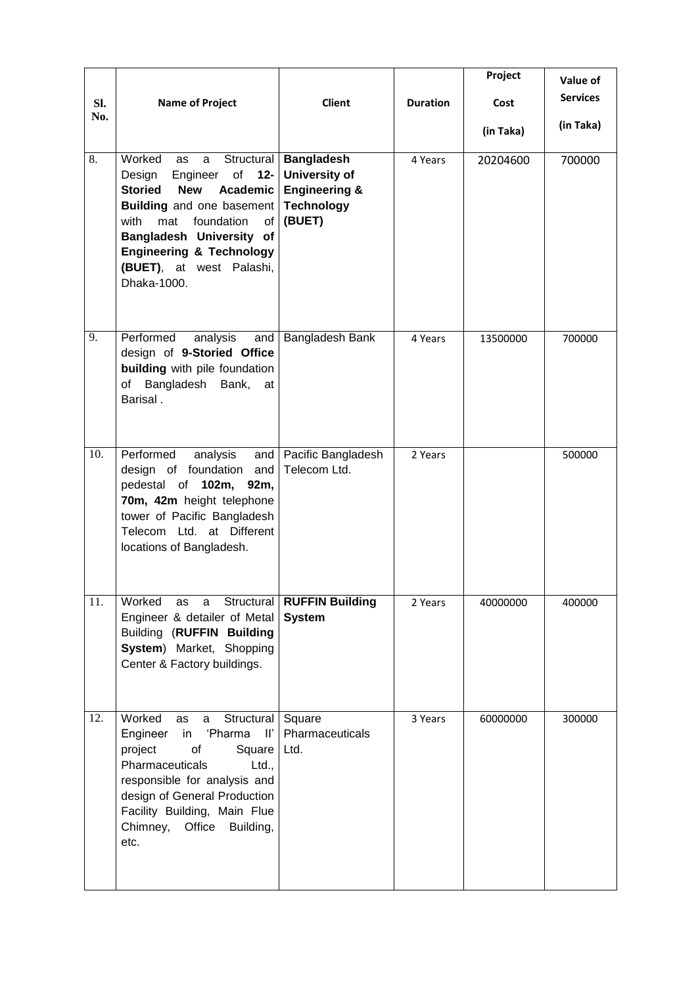| SI.              | <b>Name of Project</b>                                                                                                                                                                                                                                                                          | <b>Client</b>                                                                                       | <b>Duration</b> | Project<br>Cost | Value of<br><b>Services</b> |
|------------------|-------------------------------------------------------------------------------------------------------------------------------------------------------------------------------------------------------------------------------------------------------------------------------------------------|-----------------------------------------------------------------------------------------------------|-----------------|-----------------|-----------------------------|
| No.              |                                                                                                                                                                                                                                                                                                 |                                                                                                     |                 | (in Taka)       | (in Taka)                   |
| $\overline{8}$ . | Worked<br>as<br>a<br>Engineer<br>$\circ$ f<br>$12 -$<br>Design<br><b>Storied</b><br><b>New</b><br>Academic<br><b>Building</b> and one basement<br>foundation<br>with<br>mat<br>of<br>Bangladesh University of<br><b>Engineering &amp; Technology</b><br>(BUET), at west Palashi,<br>Dhaka-1000. | Structural   Bangladesh<br>University of<br><b>Engineering &amp;</b><br><b>Technology</b><br>(BUET) | 4 Years         | 20204600        | 700000                      |
| 9.               | Performed<br>analysis<br>and<br>design of 9-Storied Office<br>building with pile foundation<br>of Bangladesh Bank,<br>at<br>Barisal.                                                                                                                                                            | Bangladesh Bank                                                                                     | 4 Years         | 13500000        | 700000                      |
| 10.              | Performed<br>analysis<br>and<br>design of foundation<br>and<br>pedestal of 102m,<br>92m,<br>70m, 42m height telephone<br>tower of Pacific Bangladesh<br>Telecom Ltd. at Different<br>locations of Bangladesh.                                                                                   | Pacific Bangladesh<br>Telecom Ltd.                                                                  | 2 Years         |                 | 500000                      |
| 11.              | Worked<br>as<br>a<br>Engineer & detailer of Metal<br><b>Building (RUFFIN Building</b><br>System) Market, Shopping<br>Center & Factory buildings.                                                                                                                                                | Structural   RUFFIN Building<br><b>System</b>                                                       | 2 Years         | 40000000        | 400000                      |
| 12.              | Worked<br>Structural<br>as<br>a<br>'Pharma<br>Engineer<br>in<br>$\mathbb{I}^r$<br>project<br>of<br>Square<br>Pharmaceuticals<br>Ltd.,<br>responsible for analysis and<br>design of General Production<br>Facility Building, Main Flue<br>Chimney, Office<br>Building,<br>etc.                   | Square<br>Pharmaceuticals<br>Ltd.                                                                   | 3 Years         | 60000000        | 300000                      |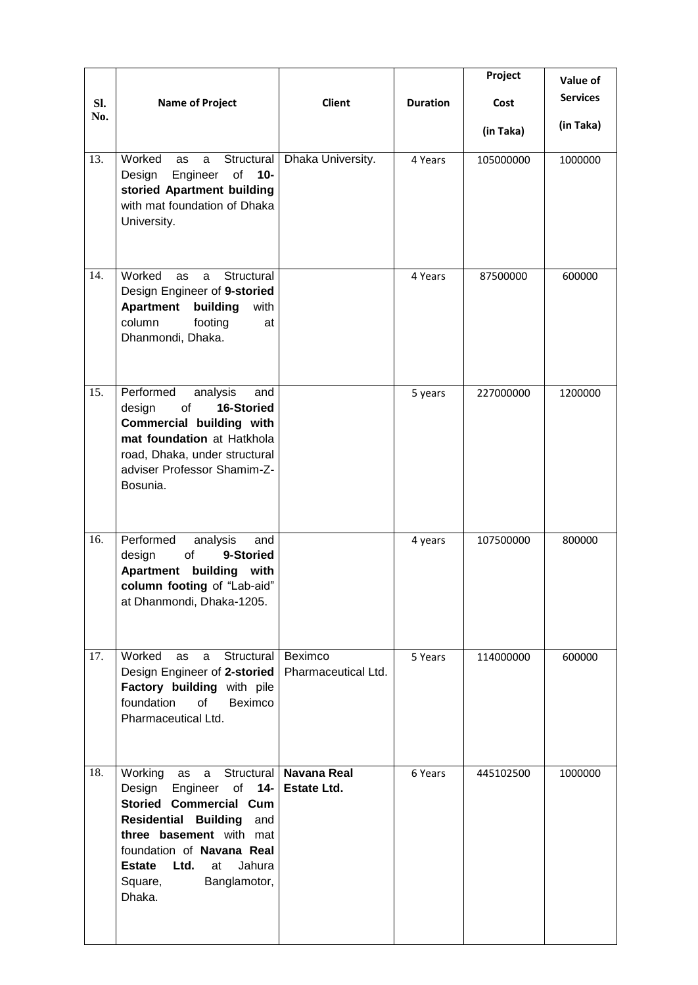|            |                                                                                                                                                                                                                                                           |                                                |                 | Project   | Value of        |
|------------|-----------------------------------------------------------------------------------------------------------------------------------------------------------------------------------------------------------------------------------------------------------|------------------------------------------------|-----------------|-----------|-----------------|
| SI.<br>No. | <b>Name of Project</b>                                                                                                                                                                                                                                    | <b>Client</b>                                  | <b>Duration</b> | Cost      | <b>Services</b> |
|            |                                                                                                                                                                                                                                                           |                                                |                 | (in Taka) | (in Taka)       |
| 13.        | Worked<br>Structural<br>as<br>a<br>Engineer<br>of<br>$10-$<br>Design<br>storied Apartment building<br>with mat foundation of Dhaka<br>University.                                                                                                         | Dhaka University.                              | 4 Years         | 105000000 | 1000000         |
| 14.        | Worked<br>Structural<br>as<br>a<br>Design Engineer of 9-storied<br><b>Apartment</b><br>building<br>with<br>column<br>footing<br>at<br>Dhanmondi, Dhaka.                                                                                                   |                                                | 4 Years         | 87500000  | 600000          |
| 15.        | Performed<br>analysis<br>and<br>16-Storied<br>design<br>of<br>Commercial building with<br>mat foundation at Hatkhola<br>road, Dhaka, under structural<br>adviser Professor Shamim-Z-<br>Bosunia.                                                          |                                                | 5 years         | 227000000 | 1200000         |
| 16.        | Performed<br>analysis<br>and<br>9-Storied<br>design<br>of<br>Apartment building with<br>column footing of "Lab-aid"<br>at Dhanmondi, Dhaka-1205.                                                                                                          |                                                | 4 years         | 107500000 | 800000          |
| 17.        | Worked<br>Structural<br>as<br>a<br>Design Engineer of 2-storied<br>Factory building with pile<br>foundation<br>of<br>Beximco<br>Pharmaceutical Ltd.                                                                                                       | Beximco<br>Pharmaceutical Ltd.                 | 5 Years         | 114000000 | 600000          |
| 18.        | Working as<br>a<br>Design<br>Engineer of 14-<br><b>Storied Commercial Cum</b><br><b>Residential Building</b><br>and<br>three basement with mat<br>foundation of Navana Real<br>Ltd.<br><b>Estate</b><br>Jahura<br>at<br>Square,<br>Banglamotor,<br>Dhaka. | Structural   Navana Real<br><b>Estate Ltd.</b> | 6 Years         | 445102500 | 1000000         |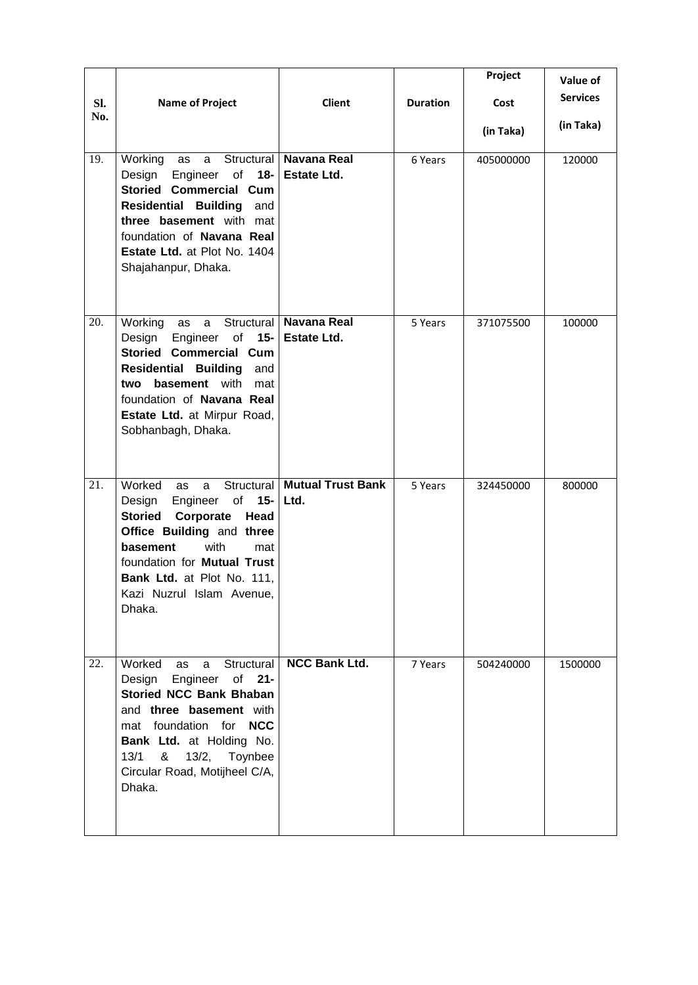|     |                                                                                                                                                                                                                                                                             |                                                |                 | Project   | Value of        |
|-----|-----------------------------------------------------------------------------------------------------------------------------------------------------------------------------------------------------------------------------------------------------------------------------|------------------------------------------------|-----------------|-----------|-----------------|
| SI. | <b>Name of Project</b>                                                                                                                                                                                                                                                      | <b>Client</b>                                  | <b>Duration</b> | Cost      | <b>Services</b> |
| No. |                                                                                                                                                                                                                                                                             |                                                |                 | (in Taka) | (in Taka)       |
| 19. | Structural<br>Working as<br>a<br>Engineer<br>of<br>Design<br>18-<br><b>Storied Commercial Cum</b><br><b>Residential Building</b><br>and<br>three basement with mat<br>foundation of Navana Real<br>Estate Ltd. at Plot No. 1404<br>Shajahanpur, Dhaka.                      | <b>Navana Real</b><br>Estate Ltd.              | 6 Years         | 405000000 | 120000          |
| 20. | Working<br>as<br>a<br>Design<br>Engineer of<br>$15 -$<br><b>Storied Commercial Cum</b><br><b>Residential Building</b><br>and<br><b>basement</b> with<br>two<br>mat<br>foundation of Navana Real<br>Estate Ltd. at Mirpur Road,<br>Sobhanbagh, Dhaka.                        | Structural   Navana Real<br><b>Estate Ltd.</b> | 5 Years         | 371075500 | 100000          |
| 21. | Worked<br>Structural<br>as<br>a<br>of<br>$15-$<br>Design<br>Engineer<br><b>Storied</b><br>Corporate<br>Head<br>Office Building and three<br>basement<br>with<br>mat<br>foundation for Mutual Trust<br>Bank Ltd. at Plot No. 111,<br>Kazi Nuzrul Islam Avenue,<br>Dhaka.     | <b>Mutual Trust Bank</b><br>Ltd.               | 5 Years         | 324450000 | 800000          |
| 22. | Worked<br>Structural<br>as<br>a<br>Design<br>Engineer<br>of<br>$21 -$<br><b>Storied NCC Bank Bhaban</b><br>and three basement with<br>mat foundation for<br><b>NCC</b><br>Bank Ltd. at Holding No.<br>13/1<br>13/2, Toynbee<br>&<br>Circular Road, Motijheel C/A,<br>Dhaka. | <b>NCC Bank Ltd.</b>                           | 7 Years         | 504240000 | 1500000         |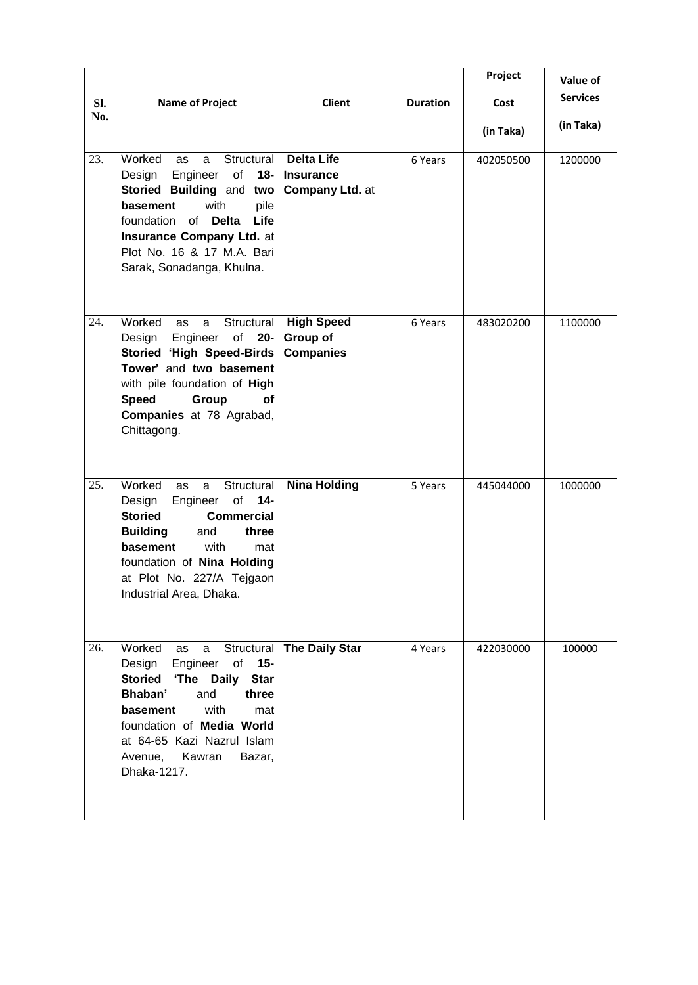|     |                                                                                                                                                                                                                                                                                            |                                                                 |                 | Project   | Value of        |
|-----|--------------------------------------------------------------------------------------------------------------------------------------------------------------------------------------------------------------------------------------------------------------------------------------------|-----------------------------------------------------------------|-----------------|-----------|-----------------|
| SI. | <b>Name of Project</b>                                                                                                                                                                                                                                                                     | <b>Client</b>                                                   | <b>Duration</b> | Cost      | <b>Services</b> |
| No. |                                                                                                                                                                                                                                                                                            |                                                                 |                 | (in Taka) | (in Taka)       |
| 23. | Worked<br>Structural<br>as<br>a<br>Engineer<br>of<br>Design<br>18-<br>Storied Building and two<br>with<br>basement<br>pile<br>foundation<br>of<br><b>Delta</b><br>Life<br>Insurance Company Ltd. at<br>Plot No. 16 & 17 M.A. Bari<br>Sarak, Sonadanga, Khulna.                             | <b>Delta Life</b><br><b>Insurance</b><br><b>Company Ltd. at</b> | 6 Years         | 402050500 | 1200000         |
| 24. | Worked<br>Structural<br>as<br>a<br>Engineer of<br>$20 -$<br>Design<br>Storied 'High Speed-Birds<br>Tower' and two basement<br>with pile foundation of High<br><b>Speed</b><br>Group<br><b>of</b><br>Companies at 78 Agrabad,<br>Chittagong.                                                | <b>High Speed</b><br>Group of<br><b>Companies</b>               | 6 Years         | 483020200 | 1100000         |
| 25. | Worked<br>Structural<br>as<br>a<br>of<br>$14-$<br>Design<br>Engineer<br><b>Storied</b><br><b>Commercial</b><br><b>Building</b><br>and<br>three<br>basement<br>with<br>mat<br>foundation of Nina Holding<br>at Plot No. 227/A Tejgaon<br>Industrial Area, Dhaka.                            | <b>Nina Holding</b>                                             | 5 Years         | 445044000 | 1000000         |
| 26. | Worked<br>Structural<br>as<br>a<br>Engineer<br>$15 -$<br>Design<br>of<br><b>Storied</b><br>'The Daily<br><b>Star</b><br>Bhaban'<br>and<br>three<br>with<br>basement<br>mat<br>foundation of <b>Media World</b><br>at 64-65 Kazi Nazrul Islam<br>Avenue,<br>Kawran<br>Bazar,<br>Dhaka-1217. | <b>The Daily Star</b>                                           | 4 Years         | 422030000 | 100000          |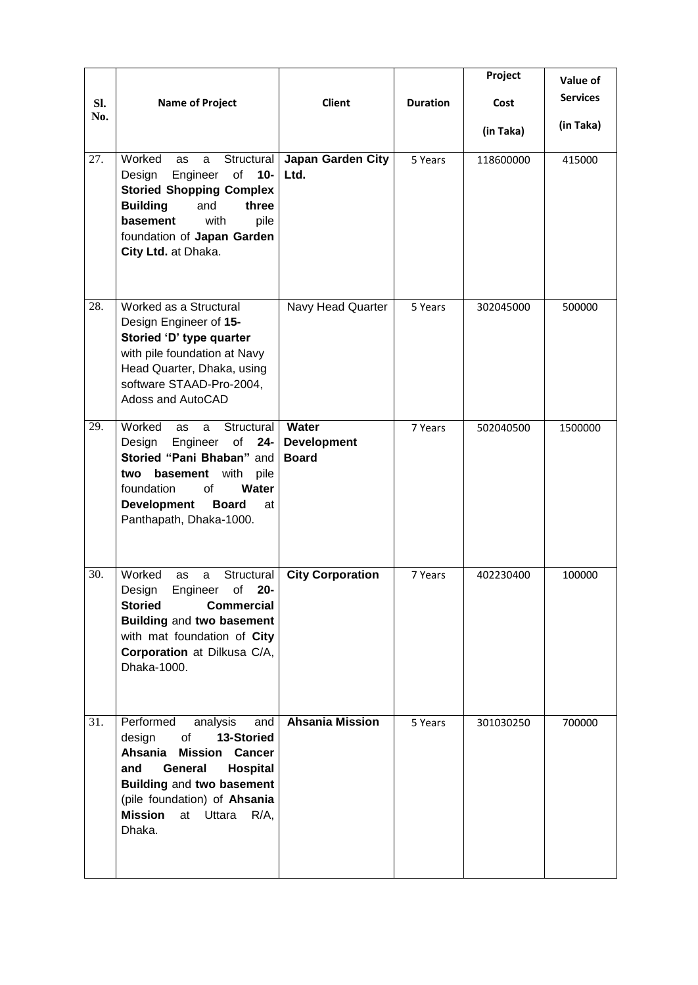|            |                                                                                                                                                                                                                                                      |                                             |                 | Project   | Value of        |
|------------|------------------------------------------------------------------------------------------------------------------------------------------------------------------------------------------------------------------------------------------------------|---------------------------------------------|-----------------|-----------|-----------------|
| SI.<br>No. | <b>Name of Project</b>                                                                                                                                                                                                                               | <b>Client</b>                               | <b>Duration</b> | Cost      | <b>Services</b> |
|            |                                                                                                                                                                                                                                                      |                                             |                 | (in Taka) | (in Taka)       |
| 27.        | Worked<br>Structural<br>as<br>a<br>Engineer<br>of<br>$10-$<br>Design<br><b>Storied Shopping Complex</b><br><b>Building</b><br>and<br>three<br>with<br>basement<br>pile<br>foundation of Japan Garden<br>City Ltd. at Dhaka.                          | Japan Garden City<br>Ltd.                   | 5 Years         | 118600000 | 415000          |
| 28.        | Worked as a Structural<br>Design Engineer of 15-<br>Storied 'D' type quarter<br>with pile foundation at Navy<br>Head Quarter, Dhaka, using<br>software STAAD-Pro-2004,<br>Adoss and AutoCAD                                                          | Navy Head Quarter                           | 5 Years         | 302045000 | 500000          |
| 29.        | Worked<br>Structural<br>as<br>a<br>Engineer<br>of<br>Design<br>$24 -$<br>Storied "Pani Bhaban" and<br>with<br>basement<br>pile<br>two<br>Water<br>foundation<br>of<br><b>Development</b><br><b>Board</b><br>at<br>Panthapath, Dhaka-1000.            | Water<br><b>Development</b><br><b>Board</b> | 7 Years         | 502040500 | 1500000         |
| 30.        | Worked<br>Structural<br>as<br>a<br>Engineer of 20-<br>Design<br><b>Commercial</b><br><b>Storied</b><br>Building and two basement<br>with mat foundation of City<br>Corporation at Dilkusa C/A,<br>Dhaka-1000.                                        | <b>City Corporation</b>                     | 7 Years         | 402230400 | 100000          |
| 31.        | Performed<br>analysis<br>and<br>13-Storied<br>design<br>of<br>Ahsania<br><b>Mission Cancer</b><br>General<br><b>Hospital</b><br>and<br>Building and two basement<br>(pile foundation) of Ahsania<br><b>Mission</b><br>at Uttara<br>$R/A$ ,<br>Dhaka. | <b>Ahsania Mission</b>                      | 5 Years         | 301030250 | 700000          |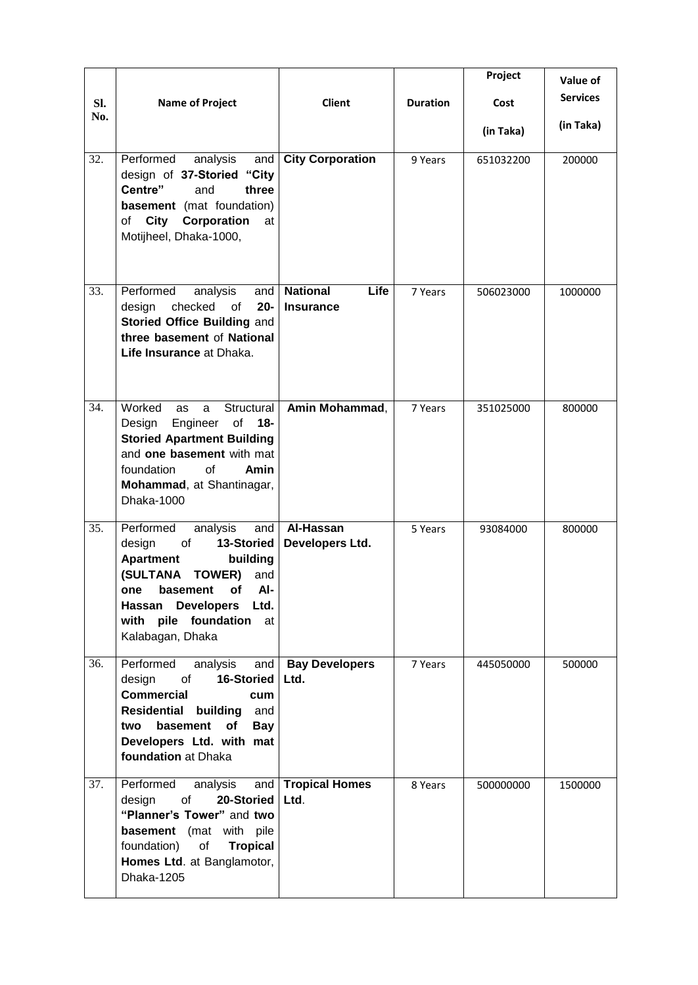| Sl.<br>No. | <b>Name of Project</b>                                                                                                                                                                                                        | <b>Client</b>                               | <b>Duration</b> | Project<br>Cost<br>(in Taka) | Value of<br><b>Services</b><br>(in Taka) |
|------------|-------------------------------------------------------------------------------------------------------------------------------------------------------------------------------------------------------------------------------|---------------------------------------------|-----------------|------------------------------|------------------------------------------|
| 32.        | Performed<br>analysis<br>and<br>design of 37-Storied<br>"City<br>Centre"<br>and<br>three<br><b>basement</b> (mat foundation)<br><b>City Corporation</b><br>of<br>at<br>Motijheel, Dhaka-1000,                                 | <b>City Corporation</b>                     | 9 Years         | 651032200                    | 200000                                   |
| 33.        | Performed<br>analysis<br>and<br>checked<br>$20 -$<br>design<br>of<br>Storied Office Building and<br>three basement of National<br>Life Insurance at Dhaka.                                                                    | <b>National</b><br>Life<br><b>Insurance</b> | 7 Years         | 506023000                    | 1000000                                  |
| 34.        | Worked<br>Structural<br>as<br>a<br>of<br>$18 -$<br>Design<br>Engineer<br><b>Storied Apartment Building</b><br>and one basement with mat<br>foundation<br>Ωf<br>Amin<br>Mohammad, at Shantinagar,<br>Dhaka-1000                | Amin Mohammad,                              | 7 Years         | 351025000                    | 800000                                   |
| 35.        | Performed<br>analysis<br>and<br>design<br>of<br>13-Storied<br><b>Apartment</b><br>building<br>(SULTANA TOWER)<br>and<br>basement of<br>AI-<br>one<br>Hassan Developers Ltd.<br>with pile foundation<br>at<br>Kalabagan, Dhaka | Al-Hassan<br>Developers Ltd.                | 5 Years         | 93084000                     | 800000                                   |
| 36.        | Performed<br>analysis<br>and<br>16-Storied<br>design<br>$\circ$ f<br><b>Commercial</b><br>cum<br><b>Residential building</b><br>and<br>basement<br>of<br>two<br><b>Bay</b><br>Developers Ltd. with mat<br>foundation at Dhaka | <b>Bay Developers</b><br>Ltd.               | 7 Years         | 445050000                    | 500000                                   |
| 37.        | Performed<br>analysis<br>and<br>20-Storied<br>design<br>of<br>"Planner's Tower" and two<br><b>basement</b> (mat with pile<br>of<br>foundation)<br><b>Tropical</b><br>Homes Ltd. at Banglamotor,<br>Dhaka-1205                 | <b>Tropical Homes</b><br>Ltd.               | 8 Years         | 500000000                    | 1500000                                  |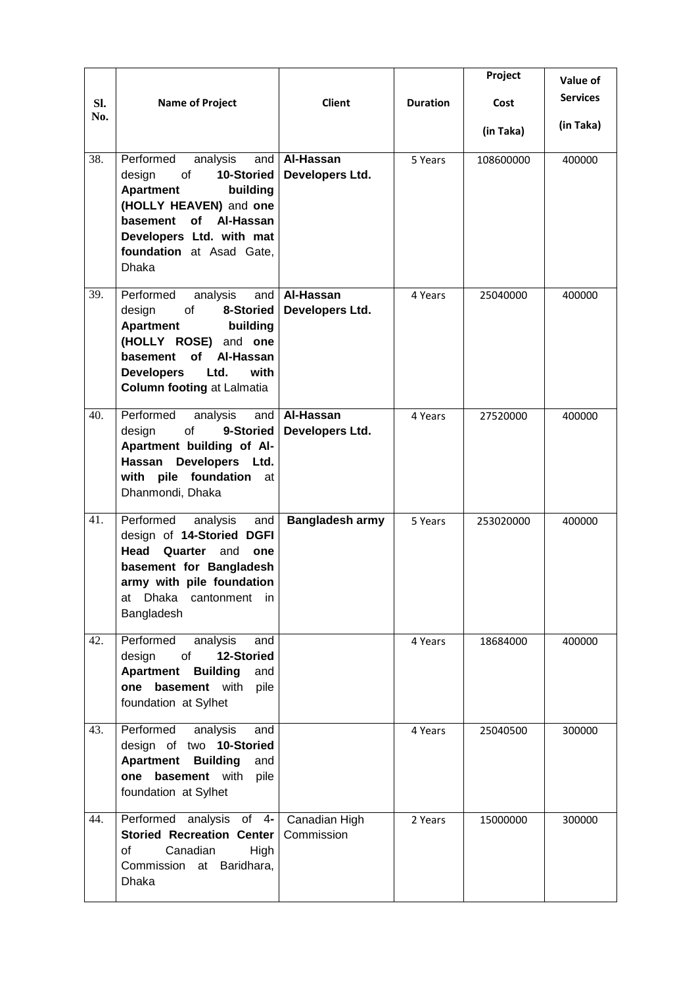| Sl.<br>No. | <b>Name of Project</b>                                                                                                                                                                                                            | <b>Client</b>                | <b>Duration</b> | Project<br>Cost<br>(in Taka) | Value of<br><b>Services</b><br>(in Taka) |
|------------|-----------------------------------------------------------------------------------------------------------------------------------------------------------------------------------------------------------------------------------|------------------------------|-----------------|------------------------------|------------------------------------------|
| 38.        | Performed<br>analysis<br>and<br>10-Storied<br>design<br>of<br><b>Apartment</b><br>building<br>(HOLLY HEAVEN) and one<br>basement of Al-Hassan<br>Developers Ltd. with mat<br>foundation at Asad Gate,<br><b>Dhaka</b>             | Al-Hassan<br>Developers Ltd. | 5 Years         | 108600000                    | 400000                                   |
| 39.        | Performed<br>analysis<br>and<br>8-Storied<br>design<br>of<br><b>Apartment</b><br>building<br>(HOLLY ROSE) and one<br><b>of</b><br>basement<br>Al-Hassan<br>Ltd.<br>with<br><b>Developers</b><br><b>Column footing at Lalmatia</b> | Al-Hassan<br>Developers Ltd. | 4 Years         | 25040000                     | 400000                                   |
| 40.        | Performed<br>analysis<br>and<br>of<br>design<br>9-Storied<br>Apartment building of Al-<br>Hassan<br>Developers Ltd.<br>with pile foundation<br>at<br>Dhanmondi, Dhaka                                                             | Al-Hassan<br>Developers Ltd. | 4 Years         | 27520000                     | 400000                                   |
| 41.        | Performed<br>analysis<br>and<br>design of 14-Storied DGFI<br>Head<br>Quarter<br>and<br>one<br>basement for Bangladesh<br>army with pile foundation<br>Dhaka cantonment in<br>at<br>Bangladesh                                     | <b>Bangladesh army</b>       | 5 Years         | 253020000                    | 400000                                   |
| 42.        | Performed<br>analysis<br>and<br>of<br>12-Storied<br>design<br><b>Apartment Building</b><br>and<br>one basement with<br>pile<br>foundation at Sylhet                                                                               |                              | 4 Years         | 18684000                     | 400000                                   |
| 43.        | Performed<br>analysis<br>and<br>design of two 10-Storied<br><b>Apartment Building</b><br>and<br>one basement with<br>pile<br>foundation at Sylhet                                                                                 |                              | 4 Years         | 25040500                     | 300000                                   |
| 44.        | Performed analysis of 4-<br><b>Storied Recreation Center</b><br>of<br>Canadian<br>High<br>Commission at Baridhara,<br>Dhaka                                                                                                       | Canadian High<br>Commission  | 2 Years         | 15000000                     | 300000                                   |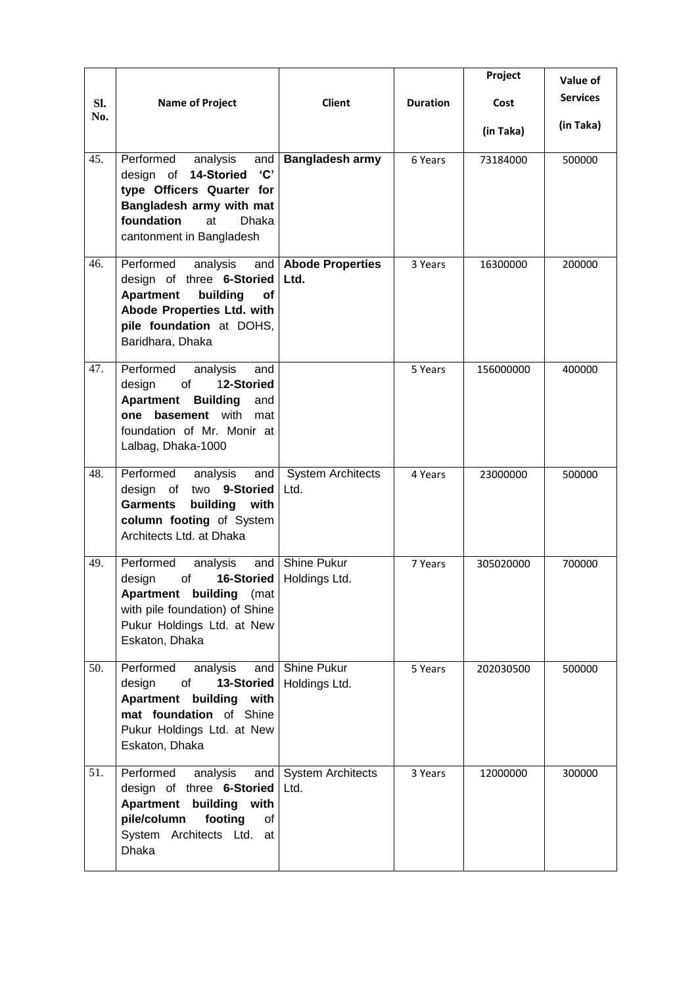|     |                                                                                                                                                                                                |                                     |                 | Project   | Value of        |
|-----|------------------------------------------------------------------------------------------------------------------------------------------------------------------------------------------------|-------------------------------------|-----------------|-----------|-----------------|
| Sl. | <b>Name of Project</b>                                                                                                                                                                         | <b>Client</b>                       | <b>Duration</b> | Cost      | <b>Services</b> |
| No. |                                                                                                                                                                                                |                                     |                 | (in Taka) | (in Taka)       |
| 45. | Performed<br>analysis<br>and<br>design of 14-Storied<br>$^{\circ}$ C'<br>type Officers Quarter for<br>Bangladesh army with mat<br>foundation<br><b>Dhaka</b><br>at<br>cantonment in Bangladesh | <b>Bangladesh army</b>              | 6 Years         | 73184000  | 500000          |
| 46. | Performed<br>analysis<br>and<br>design of three 6-Storied<br><b>Apartment</b><br>building<br>of<br>Abode Properties Ltd. with<br>pile foundation at DOHS,<br>Baridhara, Dhaka                  | <b>Abode Properties</b><br>Ltd.     | 3 Years         | 16300000  | 200000          |
| 47. | Performed<br>analysis<br>and<br>12-Storied<br>design<br>of<br><b>Apartment</b><br><b>Building</b><br>and<br>one basement with<br>mat<br>foundation of Mr. Monir at<br>Lalbag, Dhaka-1000       |                                     | 5 Years         | 156000000 | 400000          |
| 48. | Performed<br>analysis<br>and<br>design of<br>two 9-Storied<br>building<br><b>Garments</b><br>with<br>column footing of System<br>Architects Ltd. at Dhaka                                      | <b>System Architects</b><br>Ltd.    | 4 Years         | 23000000  | 500000          |
| 49. | Performed<br>and<br>analysis<br>of<br>16-Storied<br>design<br>Apartment building (mat<br>with pile foundation) of Shine<br>Pukur Holdings Ltd. at New<br>Eskaton, Dhaka                        | <b>Shine Pukur</b><br>Holdings Ltd. | 7 Years         | 305020000 | 700000          |
| 50. | Performed<br>analysis<br>and<br>of<br>13-Storied<br>design<br>Apartment building with<br>mat foundation of Shine<br>Pukur Holdings Ltd. at New<br>Eskaton, Dhaka                               | Shine Pukur<br>Holdings Ltd.        | 5 Years         | 202030500 | 500000          |
| 51. | Performed<br>analysis<br>and<br>design of three 6-Storied<br>Apartment building with<br>pile/column<br>footing<br>οf<br>System Architects Ltd.<br>at<br><b>Dhaka</b>                           | <b>System Architects</b><br>Ltd.    | 3 Years         | 12000000  | 300000          |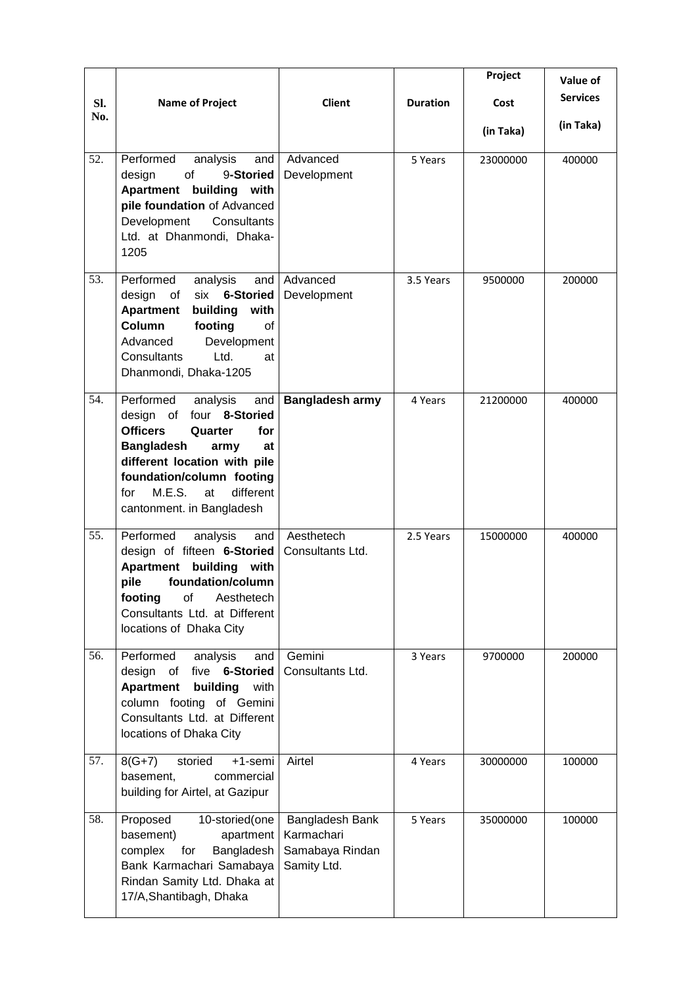|            |                                                                                                                                                                                                                                                                   |                                                                 |                 | Project   | Value of        |
|------------|-------------------------------------------------------------------------------------------------------------------------------------------------------------------------------------------------------------------------------------------------------------------|-----------------------------------------------------------------|-----------------|-----------|-----------------|
| Sl.<br>No. | <b>Name of Project</b>                                                                                                                                                                                                                                            | <b>Client</b>                                                   | <b>Duration</b> | Cost      | <b>Services</b> |
|            |                                                                                                                                                                                                                                                                   |                                                                 |                 | (in Taka) | (in Taka)       |
| 52.        | Performed<br>analysis<br>and<br>9-Storied<br>design<br>of<br><b>Apartment</b> building<br>with<br>pile foundation of Advanced<br>Development<br>Consultants<br>Ltd. at Dhanmondi, Dhaka-<br>1205                                                                  | Advanced<br>Development                                         | 5 Years         | 23000000  | 400000          |
| 53.        | Performed<br>analysis<br>and<br>design<br><b>6-Storied</b><br>of<br>six<br><b>Apartment</b><br>building<br>with<br>Column<br>footing<br>of<br>Advanced<br>Development<br>Ltd.<br>Consultants<br>at<br>Dhanmondi, Dhaka-1205                                       | Advanced<br>Development                                         | 3.5 Years       | 9500000   | 200000          |
| 54.        | Performed<br>analysis<br>and<br>four 8-Storied<br>design of<br><b>Officers</b><br>Quarter<br>for<br><b>Bangladesh</b><br>army<br>at<br>different location with pile<br>foundation/column footing<br>M.E.S.<br>different<br>at<br>for<br>cantonment. in Bangladesh | <b>Bangladesh army</b>                                          | 4 Years         | 21200000  | 400000          |
| 55.        | Performed<br>analysis<br>and<br>design of fifteen 6-Storied<br><b>Apartment</b><br>building<br>with<br>foundation/column<br>pile<br>footing<br>Aesthetech<br>οf<br>Consultants Ltd. at Different<br>locations of Dhaka City                                       | Aesthetech<br>Consultants Ltd.                                  | 2.5 Years       | 15000000  | 400000          |
| 56.        | Performed<br>analysis<br>and<br>five 6-Storied<br>design of<br><b>Apartment</b><br>building<br>with<br>column footing of Gemini<br>Consultants Ltd. at Different<br>locations of Dhaka City                                                                       | Gemini<br>Consultants Ltd.                                      | 3 Years         | 9700000   | 200000          |
| 57.        | $8(G+7)$<br>storied<br>+1-semi<br>basement,<br>commercial<br>building for Airtel, at Gazipur                                                                                                                                                                      | Airtel                                                          | 4 Years         | 30000000  | 100000          |
| 58.        | Proposed<br>10-storied(one<br>basement)<br>apartment<br>complex<br>for<br>Bangladesh<br>Bank Karmachari Samabaya<br>Rindan Samity Ltd. Dhaka at<br>17/A, Shantibagh, Dhaka                                                                                        | Bangladesh Bank<br>Karmachari<br>Samabaya Rindan<br>Samity Ltd. | 5 Years         | 35000000  | 100000          |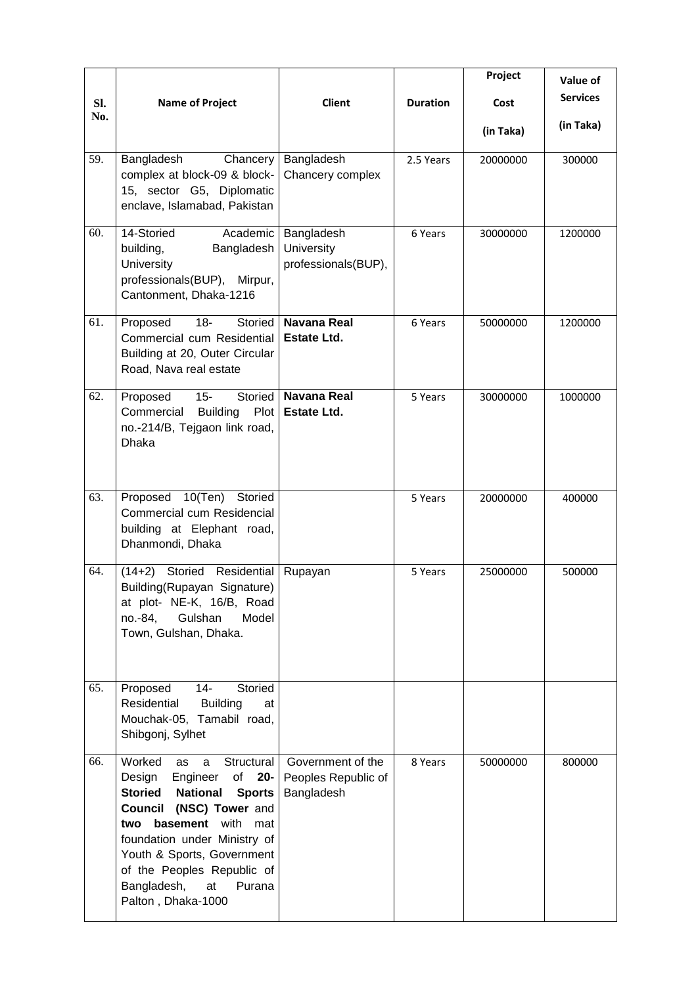|            |                                                                                                                                                                                                                                                                                                                                                         |                                                        |                 | Project   | Value of        |
|------------|---------------------------------------------------------------------------------------------------------------------------------------------------------------------------------------------------------------------------------------------------------------------------------------------------------------------------------------------------------|--------------------------------------------------------|-----------------|-----------|-----------------|
| Sl.<br>No. | <b>Name of Project</b>                                                                                                                                                                                                                                                                                                                                  | <b>Client</b>                                          | <b>Duration</b> | Cost      | <b>Services</b> |
|            |                                                                                                                                                                                                                                                                                                                                                         |                                                        |                 | (in Taka) | (in Taka)       |
| 59.        | Bangladesh<br>Chancery<br>complex at block-09 & block-<br>15, sector G5, Diplomatic<br>enclave, Islamabad, Pakistan                                                                                                                                                                                                                                     | Bangladesh<br>Chancery complex                         | 2.5 Years       | 20000000  | 300000          |
| 60.        | Academic<br>14-Storied<br>building,<br>Bangladesh<br>University<br>professionals(BUP),<br>Mirpur,<br>Cantonment, Dhaka-1216                                                                                                                                                                                                                             | Bangladesh<br>University<br>professionals(BUP),        | 6 Years         | 30000000  | 1200000         |
| 61.        | $18 -$<br>Proposed<br>Storied<br>Commercial cum Residential<br>Building at 20, Outer Circular<br>Road, Nava real estate                                                                                                                                                                                                                                 | <b>Navana Real</b><br><b>Estate Ltd.</b>               | 6 Years         | 50000000  | 1200000         |
| 62.        | Proposed<br>$15 -$<br>Storied<br>Commercial<br><b>Building</b><br>Plot<br>no.-214/B, Tejgaon link road,<br><b>Dhaka</b>                                                                                                                                                                                                                                 | <b>Navana Real</b><br><b>Estate Ltd.</b>               | 5 Years         | 30000000  | 1000000         |
| 63.        | Proposed 10(Ten)<br>Storied<br>Commercial cum Residencial<br>building at Elephant road,<br>Dhanmondi, Dhaka                                                                                                                                                                                                                                             |                                                        | 5 Years         | 20000000  | 400000          |
| 64.        | Storied Residential<br>$(14+2)$<br>Building(Rupayan Signature)<br>at plot- NE-K, 16/B, Road<br>no.-84,<br>Gulshan<br>Model<br>Town, Gulshan, Dhaka.                                                                                                                                                                                                     | Rupayan                                                | 5 Years         | 25000000  | 500000          |
| 65.        | Proposed<br>14-<br>Storied<br>Residential<br><b>Building</b><br>at<br>Mouchak-05, Tamabil road,<br>Shibgonj, Sylhet                                                                                                                                                                                                                                     |                                                        |                 |           |                 |
| 66.        | Worked<br>Structural<br>as<br>a<br>Design<br>Engineer<br>of<br>$20 -$<br><b>Storied</b><br><b>National</b><br><b>Sports</b><br><b>Council</b><br>(NSC) Tower and<br><b>basement</b> with<br>two<br>mat<br>foundation under Ministry of<br>Youth & Sports, Government<br>of the Peoples Republic of<br>Bangladesh,<br>at<br>Purana<br>Palton, Dhaka-1000 | Government of the<br>Peoples Republic of<br>Bangladesh | 8 Years         | 50000000  | 800000          |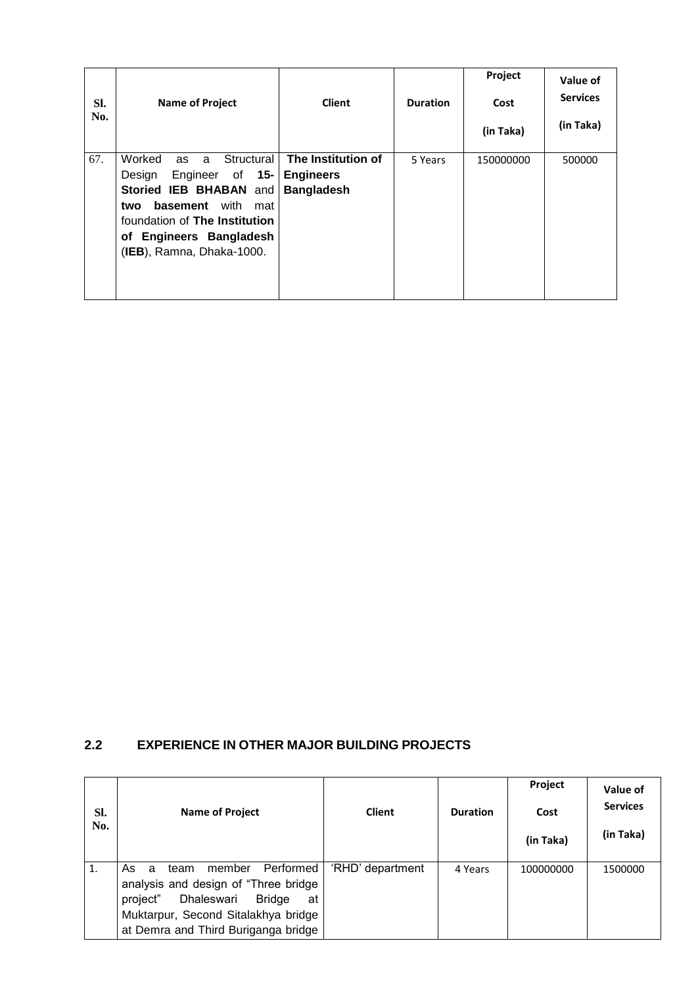| SI.<br>No. | <b>Name of Project</b>                                                                                                                                                                                                      | <b>Client</b>                                               | <b>Duration</b> | Project<br>Cost<br>(in Taka) | Value of<br><b>Services</b><br>(in Taka) |
|------------|-----------------------------------------------------------------------------------------------------------------------------------------------------------------------------------------------------------------------------|-------------------------------------------------------------|-----------------|------------------------------|------------------------------------------|
| 67.        | Worked<br>Structural<br>as<br>a<br>Engineer of 15-<br>Design<br><b>Storied IEB BHABAN</b><br>and<br>basement<br>with<br>mat<br>two<br>foundation of The Institution<br>of Engineers Bangladesh<br>(IEB), Ramna, Dhaka-1000. | The Institution of<br><b>Engineers</b><br><b>Bangladesh</b> | 5 Years         | 150000000                    | 500000                                   |

#### **2.2 EXPERIENCE IN OTHER MAJOR BUILDING PROJECTS**

| SI.<br>No. | <b>Name of Project</b>                                                                                                                                                   | <b>Client</b>    | <b>Duration</b> | Project<br>Cost<br>(in Taka) | Value of<br><b>Services</b><br>(in Taka) |
|------------|--------------------------------------------------------------------------------------------------------------------------------------------------------------------------|------------------|-----------------|------------------------------|------------------------------------------|
| 1.         | Performed  <br>member<br>As<br>team<br>a<br>analysis and design of "Three bridge<br>Dhaleswari<br>project"<br><b>Bridge</b><br>at<br>Muktarpur, Second Sitalakhya bridge | 'RHD' department | 4 Years         | 100000000                    | 1500000                                  |
|            | at Demra and Third Buriganga bridge                                                                                                                                      |                  |                 |                              |                                          |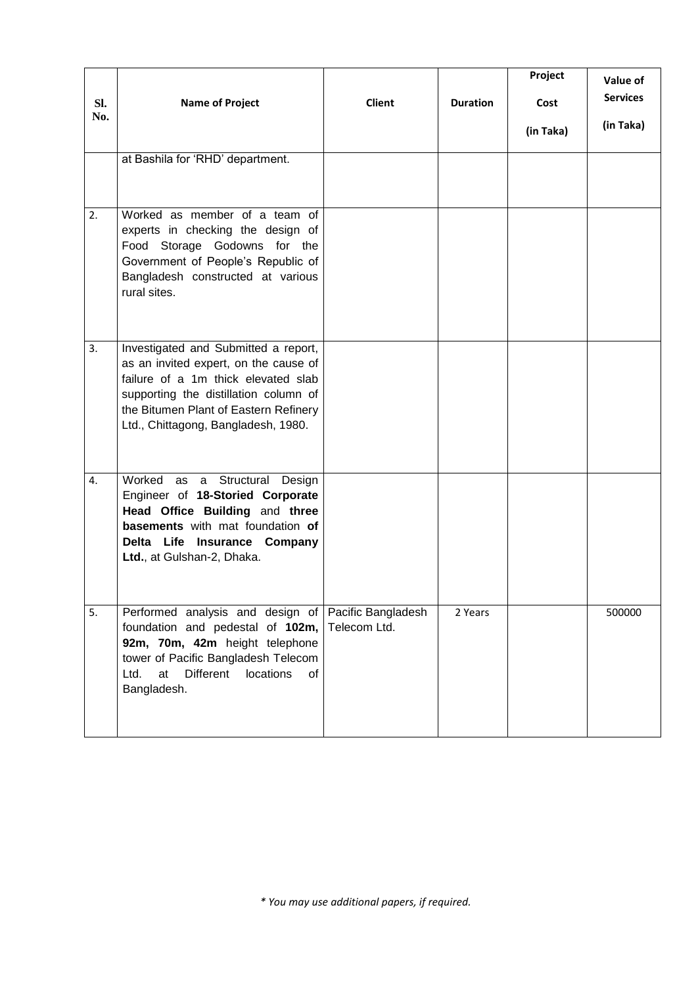| SI.<br>No. | <b>Name of Project</b>                                                                                                                                                                                                                        | Client       | <b>Duration</b> | Project<br>Cost<br>(in Taka) | Value of<br><b>Services</b><br>(in Taka) |
|------------|-----------------------------------------------------------------------------------------------------------------------------------------------------------------------------------------------------------------------------------------------|--------------|-----------------|------------------------------|------------------------------------------|
|            | at Bashila for 'RHD' department.                                                                                                                                                                                                              |              |                 |                              |                                          |
| 2.         | Worked as member of a team of<br>experts in checking the design of<br>Food Storage Godowns for the<br>Government of People's Republic of<br>Bangladesh constructed at various<br>rural sites.                                                 |              |                 |                              |                                          |
| 3.         | Investigated and Submitted a report,<br>as an invited expert, on the cause of<br>failure of a 1m thick elevated slab<br>supporting the distillation column of<br>the Bitumen Plant of Eastern Refinery<br>Ltd., Chittagong, Bangladesh, 1980. |              |                 |                              |                                          |
| 4.         | Worked as a Structural Design<br>Engineer of 18-Storied Corporate<br>Head Office Building and three<br>basements with mat foundation of<br>Delta Life Insurance Company<br>Ltd., at Gulshan-2, Dhaka.                                         |              |                 |                              |                                          |
| 5.         | Performed analysis and design of Pacific Bangladesh<br>foundation and pedestal of 102m,<br>92m, 70m, 42m height telephone<br>tower of Pacific Bangladesh Telecom<br><b>Different</b><br>locations<br>at<br>of<br>Ltd.<br>Bangladesh.          | Telecom Ltd. | 2 Years         |                              | 500000                                   |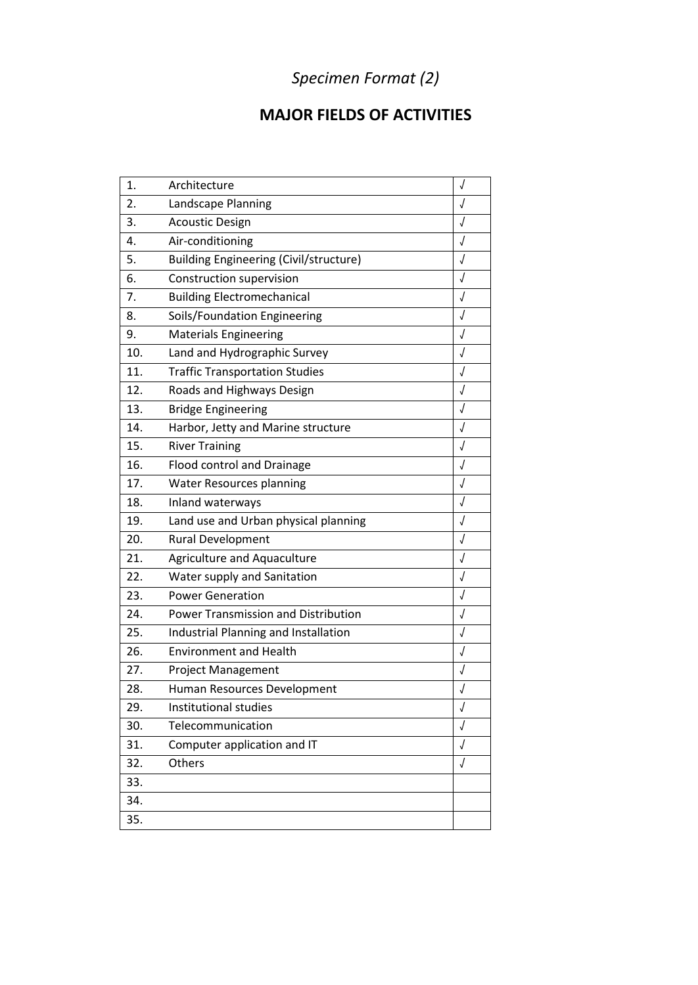# *Specimen Format (2)*

## **MAJOR FIELDS OF ACTIVITIES**

| 1.  | Architecture                                  | J          |
|-----|-----------------------------------------------|------------|
| 2.  | Landscape Planning                            | $\sqrt{2}$ |
| 3.  | <b>Acoustic Design</b>                        | $\sqrt{2}$ |
| 4.  | Air-conditioning                              | $\sqrt{2}$ |
| 5.  | <b>Building Engineering (Civil/structure)</b> | $\sqrt{2}$ |
| 6.  | Construction supervision                      | $\sqrt{2}$ |
| 7.  | <b>Building Electromechanical</b>             | $\sqrt{2}$ |
| 8.  | Soils/Foundation Engineering                  | $\sqrt{2}$ |
| 9.  | <b>Materials Engineering</b>                  | J          |
| 10. | Land and Hydrographic Survey                  | $\sqrt{ }$ |
| 11. | <b>Traffic Transportation Studies</b>         | $\sqrt{2}$ |
| 12. | Roads and Highways Design                     | J          |
| 13. | <b>Bridge Engineering</b>                     | $\sqrt{2}$ |
| 14. | Harbor, Jetty and Marine structure            | $\sqrt{2}$ |
| 15. | <b>River Training</b>                         | J          |
| 16. | Flood control and Drainage                    | J          |
| 17. | <b>Water Resources planning</b>               | $\sqrt{2}$ |
| 18. | Inland waterways                              | $\sqrt{2}$ |
| 19. | Land use and Urban physical planning          | J          |
| 20. | <b>Rural Development</b>                      | $\sqrt{2}$ |
| 21. | <b>Agriculture and Aquaculture</b>            | $\sqrt{2}$ |
| 22. | Water supply and Sanitation                   | J          |
| 23. | <b>Power Generation</b>                       | $\sqrt{2}$ |
| 24. | Power Transmission and Distribution           | $\sqrt{2}$ |
| 25. | Industrial Planning and Installation          | J          |
| 26. | <b>Environment and Health</b>                 | $\sqrt{2}$ |
| 27. | <b>Project Management</b>                     | $\sqrt{2}$ |
| 28. | Human Resources Development                   | J          |
| 29. | Institutional studies                         | $\sqrt{ }$ |
| 30. | Telecommunication                             | J          |
| 31. | Computer application and IT                   | J          |
| 32. | Others                                        | $\sqrt{ }$ |
| 33. |                                               |            |
| 34. |                                               |            |
| 35. |                                               |            |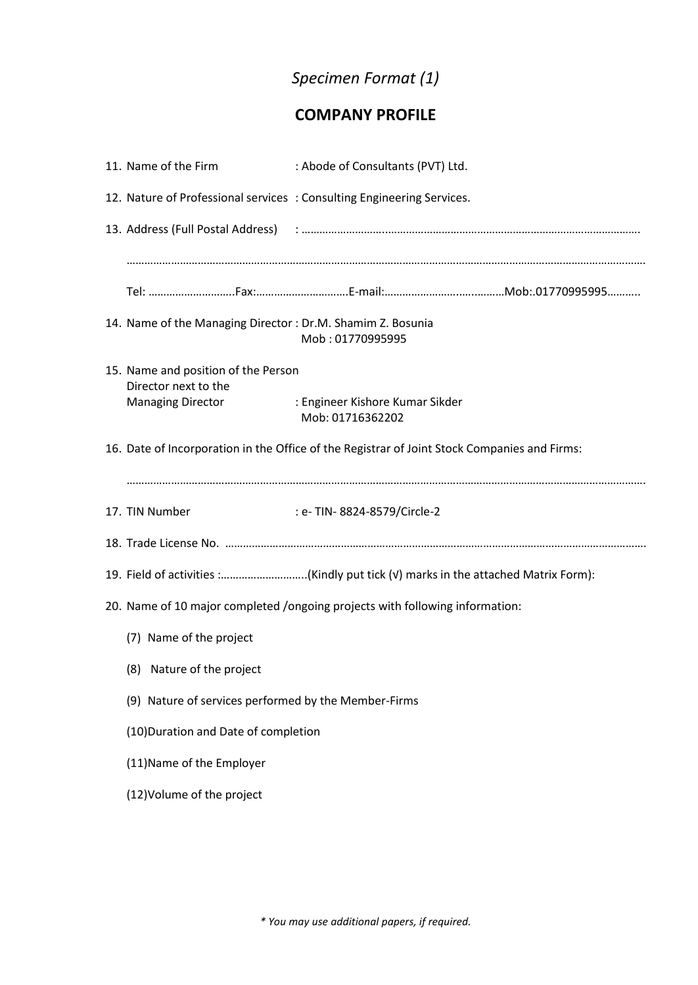## *Specimen Format (1)*

### **COMPANY PROFILE**

| 11. Name of the Firm                                        | : Abode of Consultants (PVT) Ltd.                                                            |
|-------------------------------------------------------------|----------------------------------------------------------------------------------------------|
|                                                             | 12. Nature of Professional services : Consulting Engineering Services.                       |
|                                                             |                                                                                              |
|                                                             |                                                                                              |
| 14. Name of the Managing Director: Dr.M. Shamim Z. Bosunia  | Mob: 01770995995                                                                             |
| 15. Name and position of the Person<br>Director next to the |                                                                                              |
| <b>Managing Director</b>                                    | : Engineer Kishore Kumar Sikder<br>Mob: 01716362202                                          |
|                                                             | 16. Date of Incorporation in the Office of the Registrar of Joint Stock Companies and Firms: |
| 17. TIN Number                                              | : e- TIN- 8824-8579/Circle-2                                                                 |
|                                                             |                                                                                              |
|                                                             | 19. Field of activities :(Kindly put tick (v) marks in the attached Matrix Form):            |
|                                                             | 20. Name of 10 major completed /ongoing projects with following information:                 |
| (7) Name of the project                                     |                                                                                              |
| (8) Nature of the project                                   |                                                                                              |
| (9) Nature of services performed by the Member-Firms        |                                                                                              |
| (10) Duration and Date of completion                        |                                                                                              |
| (11) Name of the Employer                                   |                                                                                              |
| (12) Volume of the project                                  |                                                                                              |
|                                                             |                                                                                              |